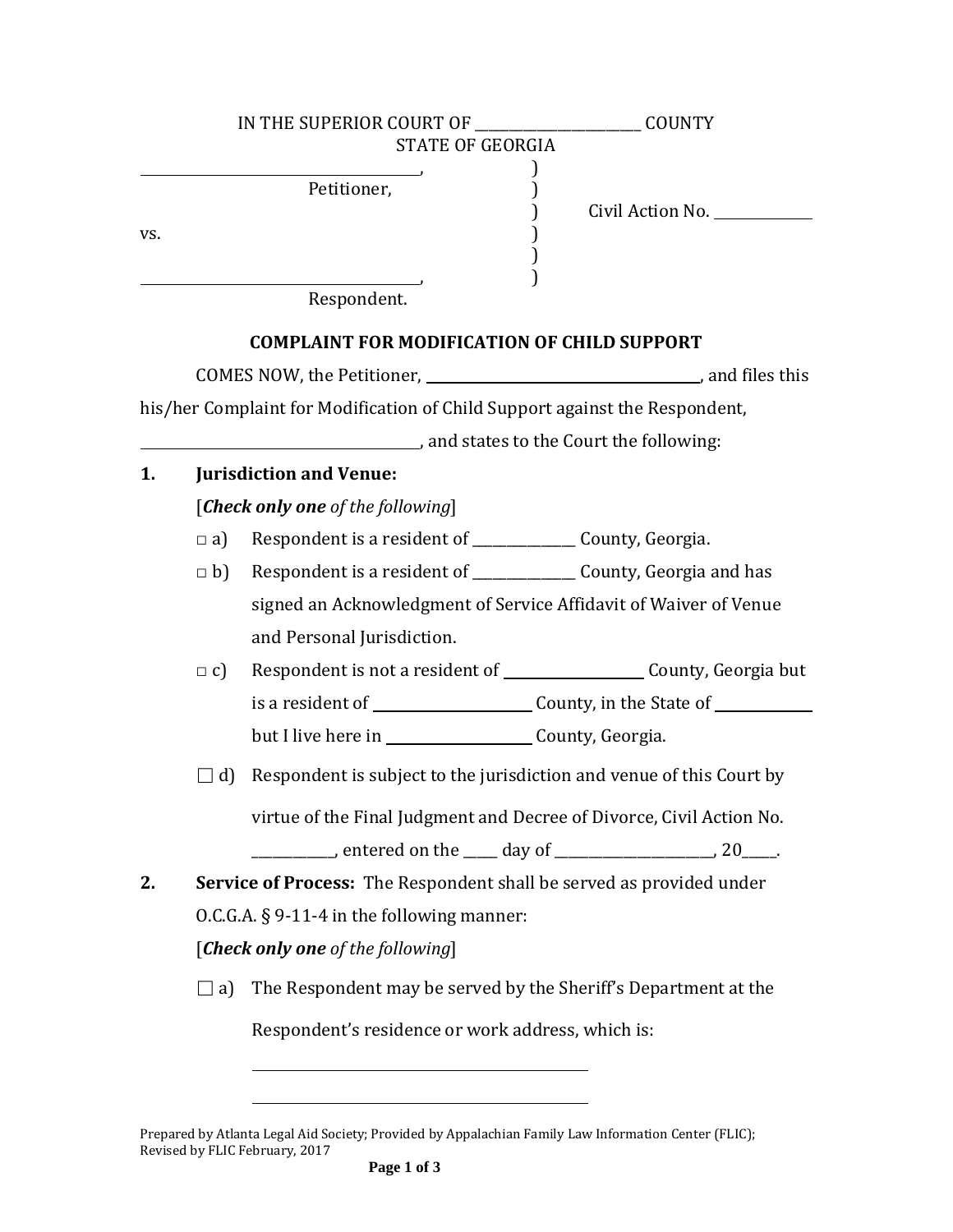|     |                                   | IN THE SUPERIOR COURT OF                                                        | <b>COUNTY</b>                                                        |  |  |  |  |
|-----|-----------------------------------|---------------------------------------------------------------------------------|----------------------------------------------------------------------|--|--|--|--|
|     |                                   | STATE OF GEORGIA                                                                |                                                                      |  |  |  |  |
| VS. |                                   | Petitioner,                                                                     | Civil Action No. _________                                           |  |  |  |  |
|     |                                   | Respondent.                                                                     |                                                                      |  |  |  |  |
|     |                                   | <b>COMPLAINT FOR MODIFICATION OF CHILD SUPPORT</b>                              |                                                                      |  |  |  |  |
|     |                                   |                                                                                 |                                                                      |  |  |  |  |
|     |                                   | his/her Complaint for Modification of Child Support against the Respondent,     |                                                                      |  |  |  |  |
|     |                                   | and states to the Court the following:                                          |                                                                      |  |  |  |  |
| 1.  |                                   | <b>Jurisdiction and Venue:</b>                                                  |                                                                      |  |  |  |  |
|     |                                   | [Check only one of the following]                                               |                                                                      |  |  |  |  |
|     | $\Box$ a)                         | Respondent is a resident of ________________ County, Georgia.                   |                                                                      |  |  |  |  |
|     |                                   | $\Box$ b) Respondent is a resident of _________________ County, Georgia and has |                                                                      |  |  |  |  |
|     |                                   | signed an Acknowledgment of Service Affidavit of Waiver of Venue                |                                                                      |  |  |  |  |
|     |                                   | and Personal Jurisdiction.                                                      |                                                                      |  |  |  |  |
|     | $\Box$ C)                         |                                                                                 |                                                                      |  |  |  |  |
|     |                                   |                                                                                 |                                                                      |  |  |  |  |
|     |                                   |                                                                                 |                                                                      |  |  |  |  |
|     | d)                                |                                                                                 | Respondent is subject to the jurisdiction and venue of this Court by |  |  |  |  |
|     |                                   | virtue of the Final Judgment and Decree of Divorce, Civil Action No.            |                                                                      |  |  |  |  |
|     |                                   | ________, entered on the _____ day of _______________________, 20_____.         |                                                                      |  |  |  |  |
| 2.  |                                   | <b>Service of Process:</b> The Respondent shall be served as provided under     |                                                                      |  |  |  |  |
|     |                                   | $0.C.G.A. § 9-11-4$ in the following manner:                                    |                                                                      |  |  |  |  |
|     | [Check only one of the following] |                                                                                 |                                                                      |  |  |  |  |
|     | $\Box$ a)                         |                                                                                 | The Respondent may be served by the Sheriff's Department at the      |  |  |  |  |
|     |                                   |                                                                                 | Respondent's residence or work address, which is:                    |  |  |  |  |
|     |                                   |                                                                                 |                                                                      |  |  |  |  |

Prepared by Atlanta Legal Aid Society; Provided by Appalachian Family Law Information Center (FLIC); Revised by FLIC February, 2017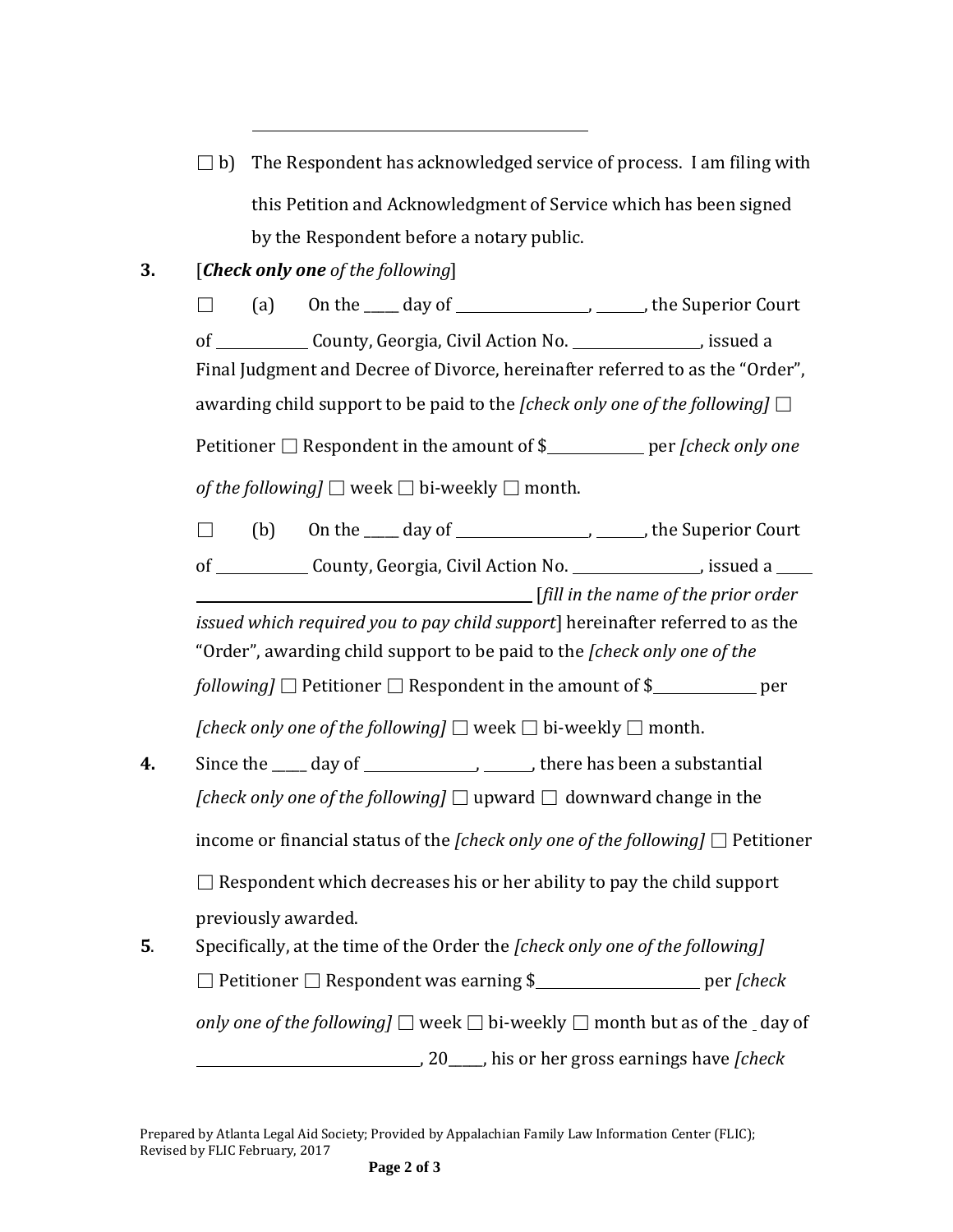$\Box$  b) The Respondent has acknowledged service of process. I am filing with this Petition and Acknowledgment of Service which has been signed by the Respondent before a notary public.

## **3.** [*Check only one of the following*]

 $\Box$  (a) On the  $\Box$  day of  $\Box$  , the Superior Court of County, Georgia, Civil Action No. (assumed a set of the County, Georgia, Civil Action No.) Final Judgment and Decree of Divorce, hereinafter referred to as the "Order", awarding child support to be paid to the *[check only one of the following]*  $\square$ Petitioner □ Respondent in the amount of \$ per *[check only one of the following*]  $\Box$  week  $\Box$  bi-weekly  $\Box$  month.  $\Box$  (b) On the  $\Box$  day of  $\Box$ , the Superior Court of County, Georgia, Civil Action No. (a) issued a [*fill in the name of the prior order issued which required you to pay child support*] hereinafter referred to as the "Order", awarding child support to be paid to the *[check only one of the following*]  $\Box$  Petitioner  $\Box$  Respondent in the amount of \$ per *[check only one of the following]*  $\Box$  week  $\Box$  bi-weekly  $\Box$  month. **4.** Since the day of  $\qquad \qquad$ , there has been a substantial *[check only one of the following]*  $\Box$  upward  $\Box$  downward change in the income or financial status of the *[check only one of the following]* □ Petitioner  $\Box$  Respondent which decreases his or her ability to pay the child support previously awarded. **5**. Specifically, at the time of the Order the *[check only one of the following]* □ Petitioner □ Respondent was earning \$ per *[check only one of the following*]  $\Box$  week  $\Box$  bi-weekly  $\Box$  month but as of the day of , 20\_\_\_\_\_, his or her gross earnings have *[check*